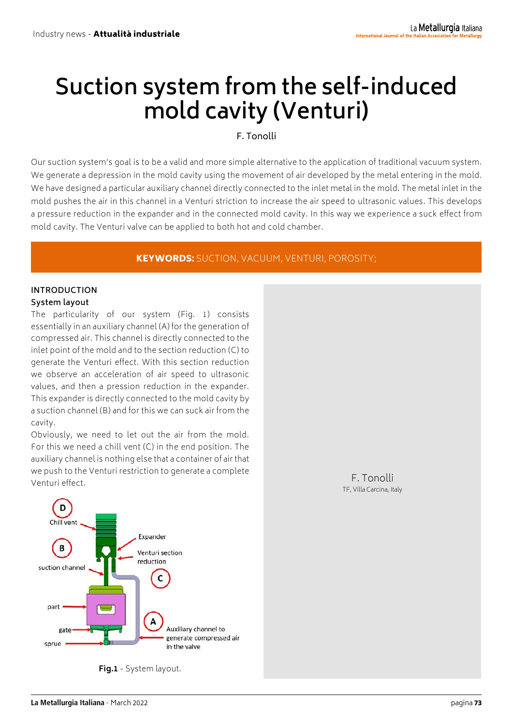# **Suction system from the self-induced mold cavity (Venturi)**

## F. Tonolli

Our suction system's goal is to be a valid and more simple alternative to the application of traditional vacuum system. We generate a depression in the mold cavity using the movement of air developed by the metal entering in the mold. We have designed a particular auxiliary channel directly connected to the inlet metal in the mold. The metal inlet in the mold pushes the air in this channel in a Venturi striction to increase the air speed to ultrasonic values. This develops a pressure reduction in the expander and in the connected mold cavity. In this way we experience a suck effect from mold cavity. The Venturi valve can be applied to both hot and cold chamber.

## KEYWORDS: SUCTION, VACUUM, VENTURI, POROSITY;

## **INTRODUCTION System layout**

The particularity of our system (Fig. 1) consists essentially in an auxiliary channel (A) for the generation of compressed air. This channel is directly connected to the inlet point of the mold and to the section reduction (C) to generate the Venturi effect. With this section reduction we observe an acceleration of air speed to ultrasonic values, and then a pression reduction in the expander. This expander is directly connected to the mold cavity by a suction channel (B) and for this we can suck air from the cavity.

Obviously, we need to let out the air from the mold. For this we need a chill vent (C) in the end position. The auxiliary channel is nothing else that a container of air that we push to the Venturi restriction to generate a complete Venturi effect. The contract of the contract of the contract of the contract of the contract of the contract of the contract of the contract of the contract of the contract of the contract of the contract of the contract o



**Fig.1** - System layout.

TF, Villa Carcina, Italy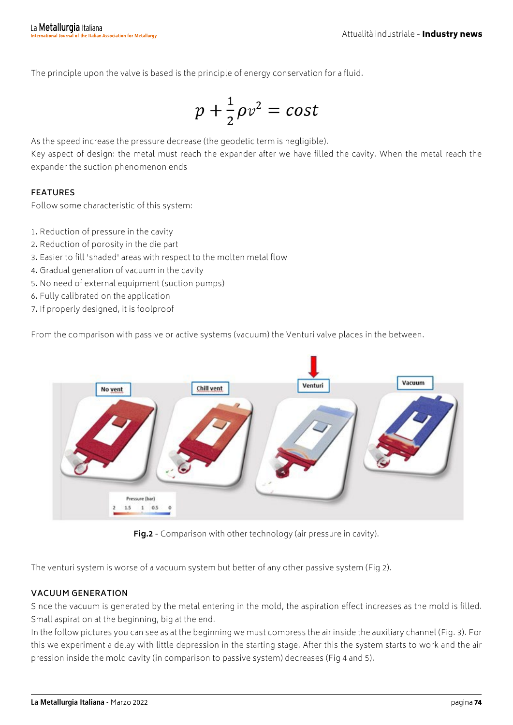The principle upon the valve is based is the principle of energy conservation for a fluid.

$$
p+\frac{1}{2}\rho v^2 = cost
$$

As the speed increase the pressure decrease (the geodetic term is negligible).

Key aspect of design: the metal must reach the expander after we have filled the cavity. When the metal reach the expander the suction phenomenon ends

## **FEATURES**

Follow some characteristic of this system:

- 1. Reduction of pressure in the cavity
- 2. Reduction of porosity in the die part
- 3. Easier to fill 'shaded' areas with respect to the molten metal flow
- 4. Gradual generation of vacuum in the cavity
- 5. No need of external equipment (suction pumps)
- 6. Fully calibrated on the application
- 7. If properly designed, it is foolproof

From the comparison with passive or active systems (vacuum) the Venturi valve places in the between.



**Fig.2** - Comparison with other technology (air pressure in cavity).

The venturi system is worse of a vacuum system but better of any other passive system (Fig 2).

### **VACUUM GENERATION**

Since the vacuum is generated by the metal entering in the mold, the aspiration effect increases as the mold is filled. Small aspiration at the beginning, big at the end.

In the follow pictures you can see as at the beginning we must compress the air inside the auxiliary channel (Fig. 3). For this we experiment a delay with little depression in the starting stage. After this the system starts to work and the air pression inside the mold cavity (in comparison to passive system) decreases (Fig 4 and 5).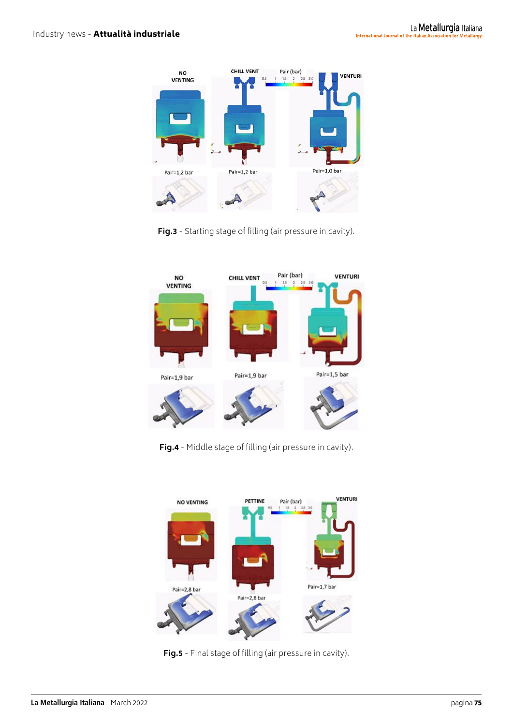

**Fig.3** - Starting stage of filling (air pressure in cavity).



**Fig.4** - Middle stage of filling (air pressure in cavity).



**Fig.5** - Final stage of filling (air pressure in cavity).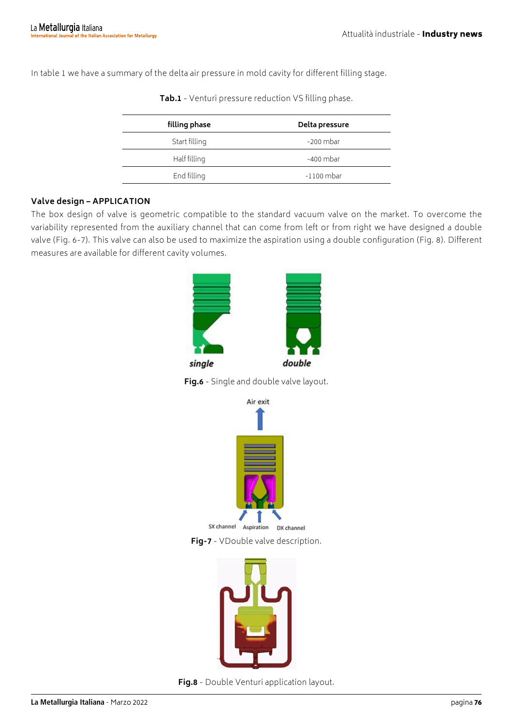In table 1 we have a summary of the delta air pressure in mold cavity for different filling stage.

| Delta pressure |
|----------------|
| $-200$ mbar    |
| -400 mbar      |
| $-1100$ mbar   |
|                |

| Tab.1 - Venturi pressure reduction VS filling phase. |  |
|------------------------------------------------------|--|
|------------------------------------------------------|--|

#### **Valve design – APPLICATION**

The box design of valve is geometric compatible to the standard vacuum valve on the market. To overcome the variability represented from the auxiliary channel that can come from left or from right we have designed a double valve (Fig. 6-7). This valve can also be used to maximize the aspiration using a double configuration (Fig. 8). Different measures are available for different cavity volumes.



**Fig.6** - Single and double valve layout.





**Fig.8** - Double Venturi application layout.